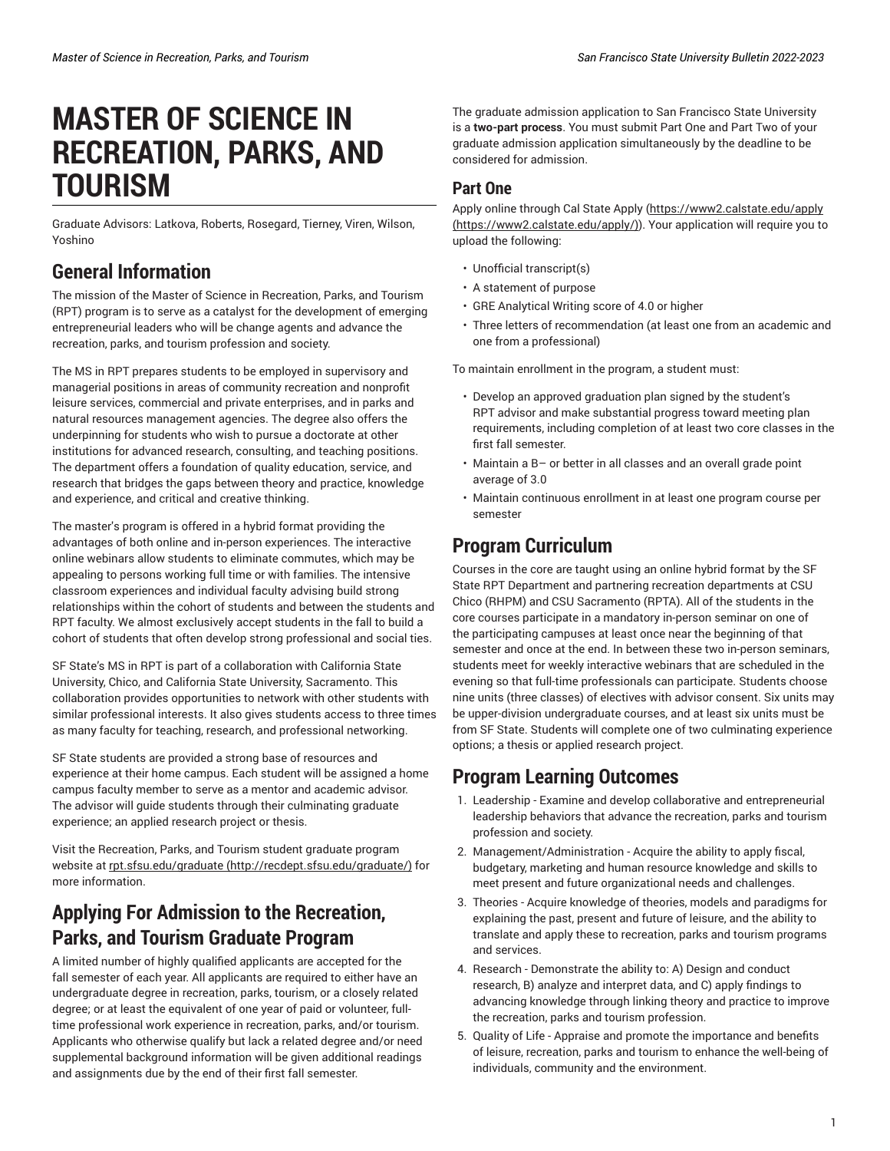# **MASTER OF SCIENCE IN RECREATION, PARKS, AND TOURISM**

Graduate Advisors: Latkova, Roberts, Rosegard, Tierney, Viren, Wilson, Yoshino

## **General Information**

The mission of the Master of Science in Recreation, Parks, and Tourism (RPT) program is to serve as a catalyst for the development of emerging entrepreneurial leaders who will be change agents and advance the recreation, parks, and tourism profession and society.

The MS in RPT prepares students to be employed in supervisory and managerial positions in areas of community recreation and nonprofit leisure services, commercial and private enterprises, and in parks and natural resources management agencies. The degree also offers the underpinning for students who wish to pursue a doctorate at other institutions for advanced research, consulting, and teaching positions. The department offers a foundation of quality education, service, and research that bridges the gaps between theory and practice, knowledge and experience, and critical and creative thinking.

The master's program is offered in a hybrid format providing the advantages of both online and in-person experiences. The interactive online webinars allow students to eliminate commutes, which may be appealing to persons working full time or with families. The intensive classroom experiences and individual faculty advising build strong relationships within the cohort of students and between the students and RPT faculty. We almost exclusively accept students in the fall to build a cohort of students that often develop strong professional and social ties.

SF State's MS in RPT is part of a collaboration with California State University, Chico, and California State University, Sacramento. This collaboration provides opportunities to network with other students with similar professional interests. It also gives students access to three times as many faculty for teaching, research, and professional networking.

SF State students are provided a strong base of resources and experience at their home campus. Each student will be assigned a home campus faculty member to serve as a mentor and academic advisor. The advisor will guide students through their culminating graduate experience; an applied research project or thesis.

Visit the Recreation, Parks, and Tourism student graduate program website at [rpt.sfsu.edu/graduate \(http://recdept.sfsu.edu/graduate/\)](http://recdept.sfsu.edu/graduate/) for more information.

## **Applying For Admission to the Recreation, Parks, and Tourism Graduate Program**

A limited number of highly qualified applicants are accepted for the fall semester of each year. All applicants are required to either have an undergraduate degree in recreation, parks, tourism, or a closely related degree; or at least the equivalent of one year of paid or volunteer, fulltime professional work experience in recreation, parks, and/or tourism. Applicants who otherwise qualify but lack a related degree and/or need supplemental background information will be given additional readings and assignments due by the end of their first fall semester.

The graduate admission application to San Francisco State University is a **two-part process**. You must submit Part One and Part Two of your graduate admission application simultaneously by the deadline to be considered for admission.

#### **Part One**

Apply online through Cal State Apply [\(https://www2.calstate.edu/apply](https://www2.calstate.edu/apply/) [\(https://www2.calstate.edu/apply/\)](https://www2.calstate.edu/apply/)). Your application will require you to upload the following:

- Unofficial transcript(s)
- A statement of purpose
- GRE Analytical Writing score of 4.0 or higher
- Three letters of recommendation (at least one from an academic and one from a professional)

To maintain enrollment in the program, a student must:

- Develop an approved graduation plan signed by the student's RPT advisor and make substantial progress toward meeting plan requirements, including completion of at least two core classes in the first fall semester.
- Maintain a B– or better in all classes and an overall grade point average of 3.0
- Maintain continuous enrollment in at least one program course per semester

## **Program Curriculum**

Courses in the core are taught using an online hybrid format by the SF State RPT Department and partnering recreation departments at CSU Chico (RHPM) and CSU Sacramento (RPTA). All of the students in the core courses participate in a mandatory in-person seminar on one of the participating campuses at least once near the beginning of that semester and once at the end. In between these two in-person seminars, students meet for weekly interactive webinars that are scheduled in the evening so that full-time professionals can participate. Students choose nine units (three classes) of electives with advisor consent. Six units may be upper-division undergraduate courses, and at least six units must be from SF State. Students will complete one of two culminating experience options; a thesis or applied research project.

### **Program Learning Outcomes**

- 1. Leadership Examine and develop collaborative and entrepreneurial leadership behaviors that advance the recreation, parks and tourism profession and society.
- 2. Management/Administration Acquire the ability to apply fiscal, budgetary, marketing and human resource knowledge and skills to meet present and future organizational needs and challenges.
- 3. Theories Acquire knowledge of theories, models and paradigms for explaining the past, present and future of leisure, and the ability to translate and apply these to recreation, parks and tourism programs and services.
- 4. Research Demonstrate the ability to: A) Design and conduct research, B) analyze and interpret data, and C) apply findings to advancing knowledge through linking theory and practice to improve the recreation, parks and tourism profession.
- 5. Quality of Life Appraise and promote the importance and benefits of leisure, recreation, parks and tourism to enhance the well-being of individuals, community and the environment.